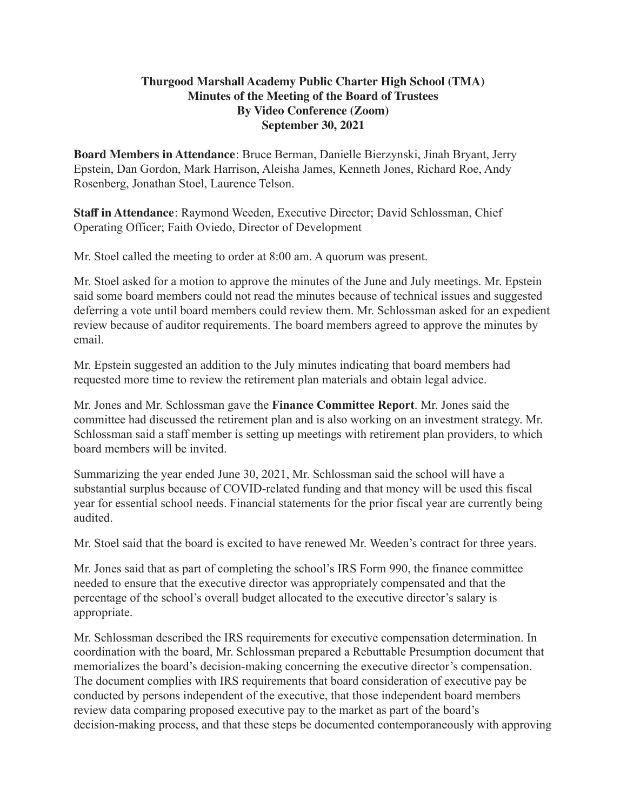## **Thurgood Marshall Academy Public Charter High School (TMA) Minutes of the Meeting of the Board of Trustees By Video Conference (Zoom) September 30, 2021**

**Board Members in Attendance**: Bruce Berman, Danielle Bierzynski, Jinah Bryant, Jerry Epstein, Dan Gordon, Mark Harrison, Aleisha James, Kenneth Jones, Richard Roe, Andy Rosenberg, Jonathan Stoel, Laurence Telson.

**Staff in Attendance**: Raymond Weeden, Executive Director; David Schlossman, Chief Operating Officer; Faith Oviedo, Director of Development

Mr. Stoel called the meeting to order at 8:00 am. A quorum was present.

Mr. Stoel asked for a motion to approve the minutes of the June and July meetings. Mr. Epstein said some board members could not read the minutes because of technical issues and suggested deferring a vote until board members could review them. Mr. Schlossman asked for an expedient review because of auditor requirements. The board members agreed to approve the minutes by email.

Mr. Epstein suggested an addition to the July minutes indicating that board members had requested more time to review the retirement plan materials and obtain legal advice.

Mr. Jones and Mr. Schlossman gave the **Finance Committee Report**. Mr. Jones said the committee had discussed the retirement plan and is also working on an investment strategy. Mr. Schlossman said a staff member is setting up meetings with retirement plan providers, to which board members will be invited.

Summarizing the year ended June 30, 2021, Mr. Schlossman said the school will have a substantial surplus because of COVID-related funding and that money will be used this fiscal year for essential school needs. Financial statements for the prior fiscal year are currently being audited.

Mr. Stoel said that the board is excited to have renewed Mr. Weeden's contract for three years.

Mr. Jones said that as part of completing the school's IRS Form 990, the finance committee needed to ensure that the executive director was appropriately compensated and that the percentage of the school's overall budget allocated to the executive director's salary is appropriate.

Mr. Schlossman described the IRS requirements for executive compensation determination. In coordination with the board, Mr. Schlossman prepared a Rebuttable Presumption document that memorializes the board's decision-making concerning the executive director's compensation. The document complies with IRS requirements that board consideration of executive pay be conducted by persons independent of the executive, that those independent board members review data comparing proposed executive pay to the market as part of the board's decision-making process, and that these steps be documented contemporaneously with approving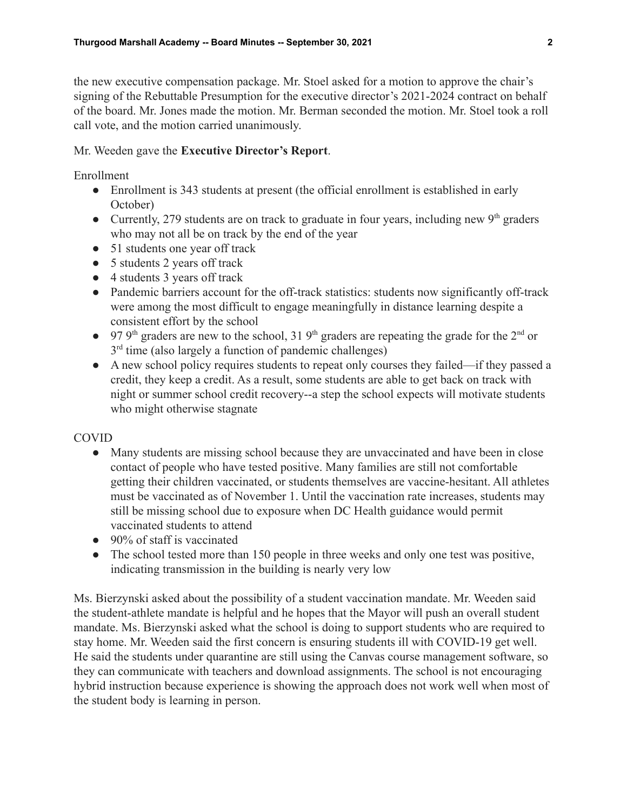the new executive compensation package. Mr. Stoel asked for a motion to approve the chair's signing of the Rebuttable Presumption for the executive director's 2021-2024 contract on behalf of the board. Mr. Jones made the motion. Mr. Berman seconded the motion. Mr. Stoel took a roll call vote, and the motion carried unanimously.

## Mr. Weeden gave the **Executive Director's Report**.

Enrollment

- Enrollment is 343 students at present (the official enrollment is established in early October)
- Currently, 279 students are on track to graduate in four years, including new  $9<sup>th</sup>$  graders who may not all be on track by the end of the year
- 51 students one year off track
- 5 students 2 years off track
- 4 students 3 years off track
- Pandemic barriers account for the off-track statistics: students now significantly off-track were among the most difficult to engage meaningfully in distance learning despite a consistent effort by the school
- 97 9<sup>th</sup> graders are new to the school, 31 9<sup>th</sup> graders are repeating the grade for the 2<sup>nd</sup> or  $3<sup>rd</sup>$  time (also largely a function of pandemic challenges)
- A new school policy requires students to repeat only courses they failed—if they passed a credit, they keep a credit. As a result, some students are able to get back on track with night or summer school credit recovery--a step the school expects will motivate students who might otherwise stagnate

## COVID

- Many students are missing school because they are unvaccinated and have been in close contact of people who have tested positive. Many families are still not comfortable getting their children vaccinated, or students themselves are vaccine-hesitant. All athletes must be vaccinated as of November 1. Until the vaccination rate increases, students may still be missing school due to exposure when DC Health guidance would permit vaccinated students to attend
- $\bullet$  90% of staff is vaccinated
- The school tested more than 150 people in three weeks and only one test was positive, indicating transmission in the building is nearly very low

Ms. Bierzynski asked about the possibility of a student vaccination mandate. Mr. Weeden said the student-athlete mandate is helpful and he hopes that the Mayor will push an overall student mandate. Ms. Bierzynski asked what the school is doing to support students who are required to stay home. Mr. Weeden said the first concern is ensuring students ill with COVID-19 get well. He said the students under quarantine are still using the Canvas course management software, so they can communicate with teachers and download assignments. The school is not encouraging hybrid instruction because experience is showing the approach does not work well when most of the student body is learning in person.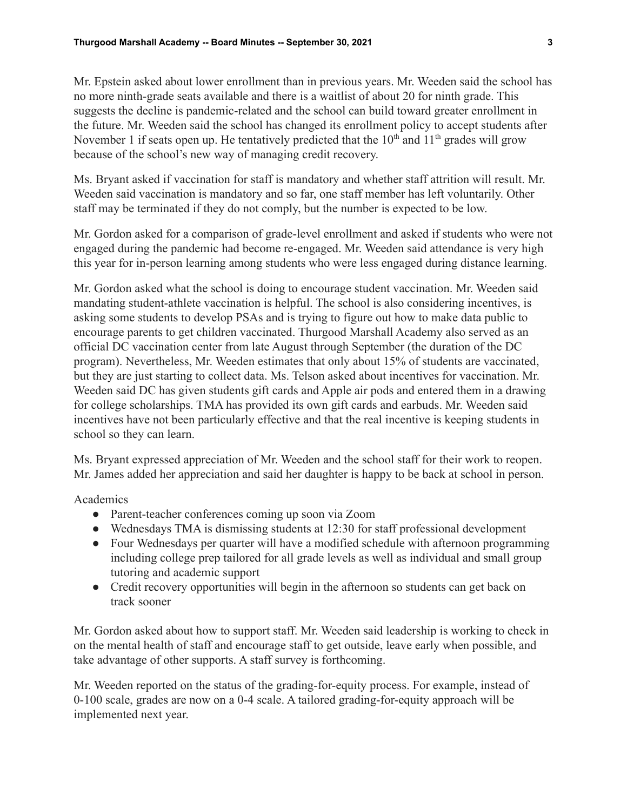Mr. Epstein asked about lower enrollment than in previous years. Mr. Weeden said the school has no more ninth-grade seats available and there is a waitlist of about 20 for ninth grade. This suggests the decline is pandemic-related and the school can build toward greater enrollment in the future. Mr. Weeden said the school has changed its enrollment policy to accept students after November 1 if seats open up. He tentatively predicted that the  $10<sup>th</sup>$  and  $11<sup>th</sup>$  grades will grow because of the school's new way of managing credit recovery.

Ms. Bryant asked if vaccination for staff is mandatory and whether staff attrition will result. Mr. Weeden said vaccination is mandatory and so far, one staff member has left voluntarily. Other staff may be terminated if they do not comply, but the number is expected to be low.

Mr. Gordon asked for a comparison of grade-level enrollment and asked if students who were not engaged during the pandemic had become re-engaged. Mr. Weeden said attendance is very high this year for in-person learning among students who were less engaged during distance learning.

Mr. Gordon asked what the school is doing to encourage student vaccination. Mr. Weeden said mandating student-athlete vaccination is helpful. The school is also considering incentives, is asking some students to develop PSAs and is trying to figure out how to make data public to encourage parents to get children vaccinated. Thurgood Marshall Academy also served as an official DC vaccination center from late August through September (the duration of the DC program). Nevertheless, Mr. Weeden estimates that only about 15% of students are vaccinated, but they are just starting to collect data. Ms. Telson asked about incentives for vaccination. Mr. Weeden said DC has given students gift cards and Apple air pods and entered them in a drawing for college scholarships. TMA has provided its own gift cards and earbuds. Mr. Weeden said incentives have not been particularly effective and that the real incentive is keeping students in school so they can learn.

Ms. Bryant expressed appreciation of Mr. Weeden and the school staff for their work to reopen. Mr. James added her appreciation and said her daughter is happy to be back at school in person.

Academics

- Parent-teacher conferences coming up soon via Zoom
- Wednesdays TMA is dismissing students at 12:30 for staff professional development
- Four Wednesdays per quarter will have a modified schedule with afternoon programming including college prep tailored for all grade levels as well as individual and small group tutoring and academic support
- Credit recovery opportunities will begin in the afternoon so students can get back on track sooner

Mr. Gordon asked about how to support staff. Mr. Weeden said leadership is working to check in on the mental health of staff and encourage staff to get outside, leave early when possible, and take advantage of other supports. A staff survey is forthcoming.

Mr. Weeden reported on the status of the grading-for-equity process. For example, instead of 0-100 scale, grades are now on a 0-4 scale. A tailored grading-for-equity approach will be implemented next year.